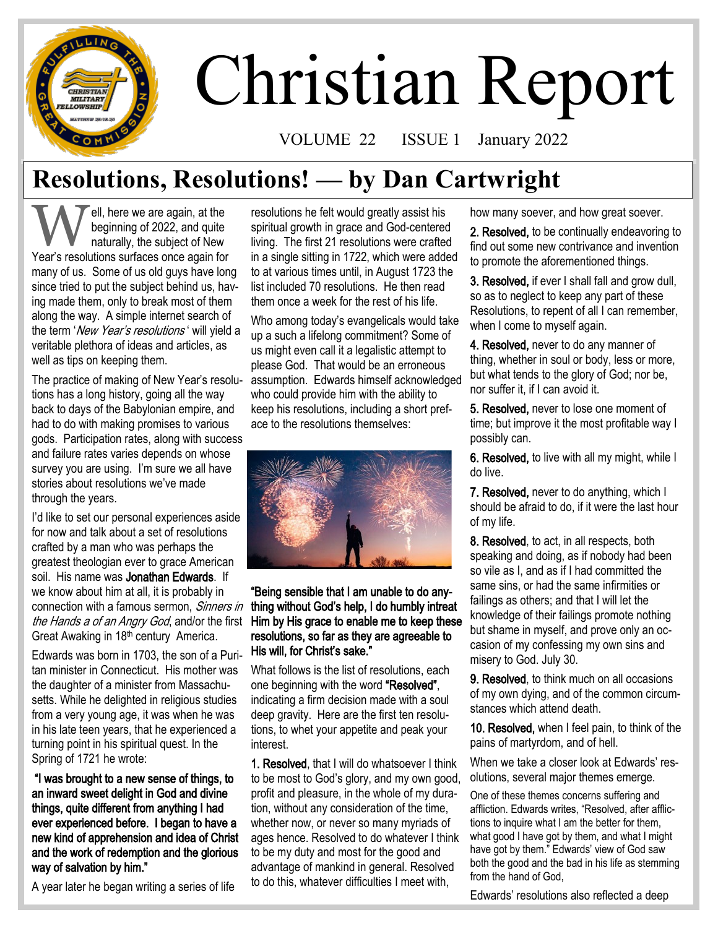# Christian Report

VOLUME 22 ISSUE 1 January 2022

# **Resolutions, Resolutions! — by Dan Cartwright**

**W** ell, here we are again, at the beginning of 2022, and quite naturally, the subject of New Year's resolutions surfaces once again for ell, here we are again, at the beginning of 2022, and quite naturally, the subject of New many of us. Some of us old guys have long since tried to put the subject behind us, having made them, only to break most of them along the way. A simple internet search of the term 'New Year's resolutions' will yield a veritable plethora of ideas and articles, as well as tips on keeping them.

**CHRISTIAN MILITARY LOWSHIP** 

The practice of making of New Year's resolutions has a long history, going all the way back to days of the Babylonian empire, and had to do with making promises to various gods. Participation rates, along with success and failure rates varies depends on whose survey you are using. I'm sure we all have stories about resolutions we've made through the years.

I'd like to set our personal experiences aside for now and talk about a set of resolutions crafted by a man who was perhaps the greatest theologian ever to grace American soil. His name was Jonathan Edwards. If we know about him at all, it is probably in connection with a famous sermon, Sinners in the Hands a of an Angry God, and/or the first Great Awaking in 18<sup>th</sup> century America.

Edwards was born in 1703, the son of a Puritan minister in Connecticut. His mother was the daughter of a minister from Massachusetts. While he delighted in religious studies from a very young age, it was when he was in his late teen years, that he experienced a turning point in his spiritual quest. In the Spring of 1721 he wrote:

"I was brought to a new sense of things, to an inward sweet delight in God and divine things, quite different from anything I had ever experienced before. I began to have a new kind of apprehension and idea of Christ and the work of redemption and the glorious way of salvation by him."

A year later he began writing a series of life

resolutions he felt would greatly assist his spiritual growth in grace and God-centered living. The first 21 resolutions were crafted in a single sitting in 1722, which were added to at various times until, in August 1723 the list included 70 resolutions. He then read them once a week for the rest of his life.

Who among today's evangelicals would take up a such a lifelong commitment? Some of us might even call it a legalistic attempt to please God. That would be an erroneous assumption. Edwards himself acknowledged who could provide him with the ability to keep his resolutions, including a short preface to the resolutions themselves:



#### "Being sensible that I am unable to do anything without God's help, I do humbly intreat Him by His grace to enable me to keep these resolutions, so far as they are agreeable to His will, for Christ's sake."

What follows is the list of resolutions, each one beginning with the word "Resolved", indicating a firm decision made with a soul deep gravity. Here are the first ten resolutions, to whet your appetite and peak your interest.

1. Resolved, that I will do whatsoever I think to be most to God's glory, and my own good, profit and pleasure, in the whole of my duration, without any consideration of the time, whether now, or never so many myriads of ages hence. Resolved to do whatever I think to be my duty and most for the good and advantage of mankind in general. Resolved to do this, whatever difficulties I meet with,

how many soever, and how great soever.

2. Resolved, to be continually endeavoring to find out some new contrivance and invention to promote the aforementioned things.

3. Resolved, if ever I shall fall and grow dull, so as to neglect to keep any part of these Resolutions, to repent of all I can remember, when I come to myself again.

4. Resolved, never to do any manner of thing, whether in soul or body, less or more, but what tends to the glory of God; nor be, nor suffer it, if I can avoid it.

5. Resolved, never to lose one moment of time; but improve it the most profitable way I possibly can.

6. Resolved, to live with all my might, while I do live.

7. Resolved, never to do anything, which I should be afraid to do, if it were the last hour of my life.

8. Resolved, to act, in all respects, both speaking and doing, as if nobody had been so vile as I, and as if I had committed the same sins, or had the same infirmities or failings as others; and that I will let the knowledge of their failings promote nothing but shame in myself, and prove only an occasion of my confessing my own sins and misery to God. July 30.

9. Resolved, to think much on all occasions of my own dying, and of the common circumstances which attend death.

10. Resolved, when I feel pain, to think of the pains of martyrdom, and of hell.

When we take a closer look at Edwards' resolutions, several major themes emerge.

One of these themes concerns suffering and affliction. Edwards writes, "Resolved, after afflictions to inquire what I am the better for them, what good I have got by them, and what I might have got by them." Edwards' view of God saw both the good and the bad in his life as stemming from the hand of God,

Edwards' resolutions also reflected a deep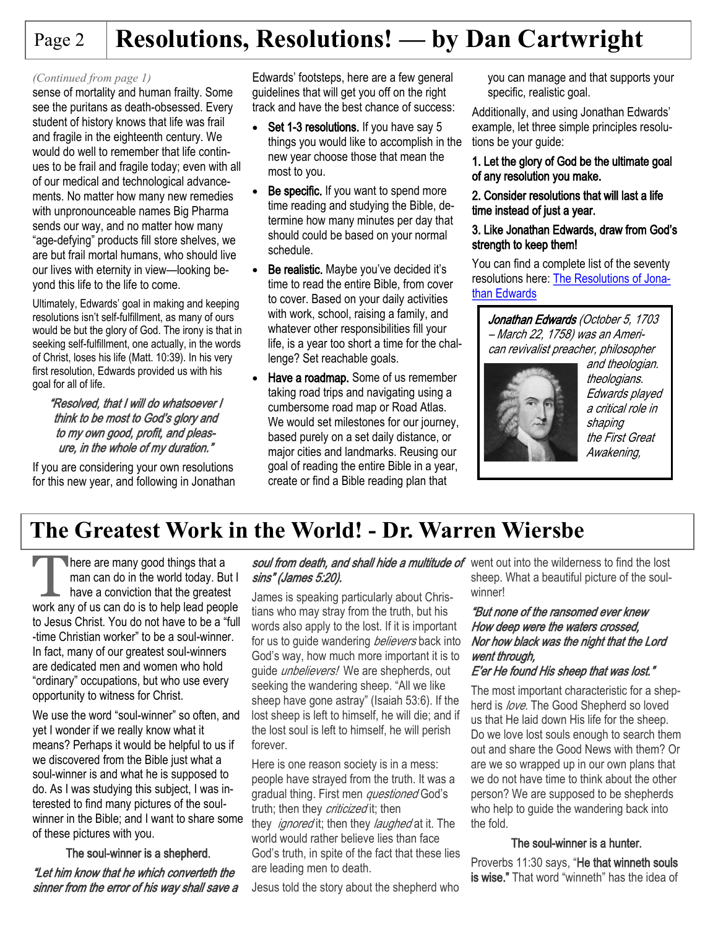# Page 2 **Resolutions, Resolutions! — by Dan Cartwright**

#### *(Continued from page 1)*

sense of mortality and human frailty. Some see the puritans as death-obsessed. Every student of history knows that life was frail and fragile in the eighteenth century. We would do well to remember that life continues to be frail and fragile today; even with all of our medical and technological advancements. No matter how many new remedies with unpronounceable names Big Pharma sends our way, and no matter how many "age-defying" products fill store shelves, we are but frail mortal humans, who should live our lives with eternity in view—looking beyond this life to the life to come.

Ultimately, Edwards' goal in making and keeping resolutions isn't self-fulfillment, as many of ours would be but the glory of God. The irony is that in seeking self-fulfillment, one actually, in the words of Christ, loses his life ([Matt. 10:39\)](https://www.esv.org/Matt.%2010%3A39/). In his very first resolution, Edwards provided us with his goal for all of life.

#### "Resolved, that I will do whatsoever I think to be most to God's glory and to my own good, profit, and pleasure, in the whole of my duration."

If you are considering your own resolutions for this new year, and following in Jonathan

Edwards' footsteps, here are a few general guidelines that will get you off on the right track and have the best chance of success:

- Set 1-3 resolutions. If you have say 5 things you would like to accomplish in the new year choose those that mean the most to you.
- Be specific. If you want to spend more time reading and studying the Bible, determine how many minutes per day that should could be based on your normal schedule.
- Be realistic. Maybe you've decided it's time to read the entire Bible, from cover to cover. Based on your daily activities with work, school, raising a family, and whatever other responsibilities fill your life, is a year too short a time for the challenge? Set reachable goals.
- Have a roadmap. Some of us remember taking road trips and navigating using a cumbersome road map or Road Atlas. We would set milestones for our journey, based purely on a set daily distance, or major cities and landmarks. Reusing our goal of reading the entire Bible in a year, create or find a Bible reading plan that

you can manage and that supports your specific, realistic goal.

Additionally, and using Jonathan Edwards' example, let three simple principles resolutions be your guide:

#### 1. Let the glory of God be the ultimate goal of any resolution you make.

#### 2. Consider resolutions that will last a life time instead of just a year.

#### 3. Like Jonathan Edwards, draw from God's strength to keep them!

You can find a complete list of the seventy resolutions here: [The Resolutions of Jona](http://www.jonathan-edwards.org/Resolutions.html)[than Edwards](http://www.jonathan-edwards.org/Resolutions.html)

Jonathan Edwards (October 5, 1703 – March 22, 1758) was an American revivalist preacher, philosopher



and theologian. theologians. Edwards played a critical role in shaping the First Great Awakening,

## **The Greatest Work in the World! - Dr. Warren Wiersbe**

There are many good things that a<br>man can do in the world today. But I<br>have a conviction that the greatest<br>work any of us can do is to help lead people here are many good things that a man can do in the world today. But I have a conviction that the greatest to Jesus Christ. You do not have to be a "full -time Christian worker" to be a soul-winner. In fact, many of our greatest soul-winners are dedicated men and women who hold "ordinary" occupations, but who use every opportunity to witness for Christ.

We use the word "soul-winner" so often, and yet I wonder if we really know what it means? Perhaps it would be helpful to us if we discovered from the Bible just what a soul-winner is and what he is supposed to do. As I was studying this subject, I was interested to find many pictures of the soulwinner in the Bible; and I want to share some of these pictures with you.

#### The soul-winner is a shepherd.

"Let him know that he which converteth the sinner from the error of his way shall save a

#### soul from death, and shall hide a multitude of went out into the wilderness to find the lost sins" (James 5:20).

James is speaking particularly about Christians who may stray from the truth, but his words also apply to the lost. If it is important for us to guide wandering *believers* back into God's way, how much more important it is to guide *unbelievers!* We are shepherds, out seeking the wandering sheep. "All we like sheep have gone astray" (Isaiah 53:6). If the lost sheep is left to himself, he will die; and if the lost soul is left to himself, he will perish forever.

Here is one reason society is in a mess: people have strayed from the truth. It was a gradual thing. First men *questioned* God's truth; then they *criticized* it; then they *ignored* it; then they *laughed* at it. The world would rather believe lies than face God's truth, in spite of the fact that these lies are leading men to death.

Jesus told the story about the shepherd who

sheep. What a beautiful picture of the soulwinner!

#### "But none of the ransomed ever knew How deep were the waters crossed, Nor how black was the night that the Lord went through.

#### E'er He found His sheep that was lost."

The most important characteristic for a shepherd is *love*. The Good Shepherd so loved us that He laid down His life for the sheep. Do we love lost souls enough to search them out and share the Good News with them? Or are we so wrapped up in our own plans that we do not have time to think about the other person? We are supposed to be shepherds who help to guide the wandering back into the fold.

#### The soul-winner is a hunter.

Proverbs 11:30 says, "He that winneth souls is wise." That word "winneth" has the idea of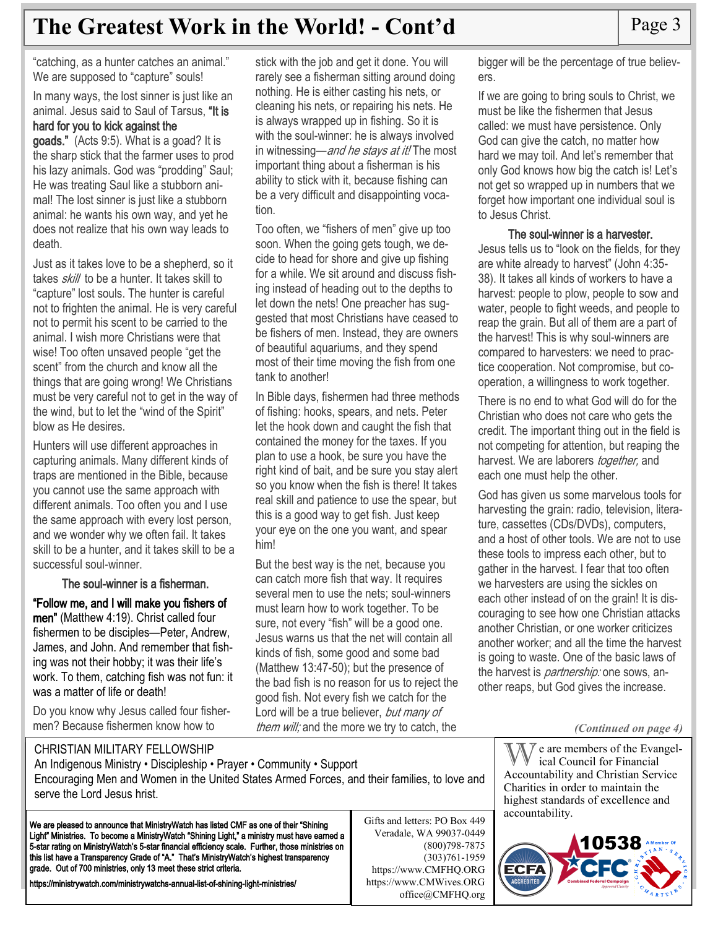## **The Greatest Work in the World! - Cont'd** Page 3

"catching, as a hunter catches an animal." We are supposed to "capture" souls!

In many ways, the lost sinner is just like an animal. Jesus said to Saul of Tarsus, "It is hard for you to kick against the

#### goads." (Acts 9:5). What is a goad? It is the sharp stick that the farmer uses to prod his lazy animals. God was "prodding" Saul; He was treating Saul like a stubborn animal! The lost sinner is just like a stubborn animal: he wants his own way, and yet he does not realize that his own way leads to death.

Just as it takes love to be a shepherd, so it takes *skill* to be a hunter. It takes skill to "capture" lost souls. The hunter is careful not to frighten the animal. He is very careful not to permit his scent to be carried to the animal. I wish more Christians were that wise! Too often unsaved people "get the scent" from the church and know all the things that are going wrong! We Christians must be very careful not to get in the way of the wind, but to let the "wind of the Spirit" blow as He desires.

Hunters will use different approaches in capturing animals. Many different kinds of traps are mentioned in the Bible, because you cannot use the same approach with different animals. Too often you and I use the same approach with every lost person, and we wonder why we often fail. It takes skill to be a hunter, and it takes skill to be a successful soul-winner.

#### The soul-winner is a fisherman.

"Follow me, and I will make you fishers of men" (Matthew 4:19). Christ called four fishermen to be disciples—Peter, Andrew, James, and John. And remember that fishing was not their hobby; it was their life's work. To them, catching fish was not fun: it was a matter of life or death!

Do you know why Jesus called four fishermen? Because fishermen know how to

stick with the job and get it done. You will rarely see a fisherman sitting around doing nothing. He is either casting his nets, or cleaning his nets, or repairing his nets. He is always wrapped up in fishing. So it is with the soul-winner: he is always involved in witnessing—and he stays at it! The most important thing about a fisherman is his ability to stick with it, because fishing can be a very difficult and disappointing vocation.

Too often, we "fishers of men" give up too soon. When the going gets tough, we decide to head for shore and give up fishing for a while. We sit around and discuss fishing instead of heading out to the depths to let down the nets! One preacher has suggested that most Christians have ceased to be fishers of men. Instead, they are owners of beautiful aquariums, and they spend most of their time moving the fish from one tank to another!

In Bible days, fishermen had three methods of fishing: hooks, spears, and nets. Peter let the hook down and caught the fish that contained the money for the taxes. If you plan to use a hook, be sure you have the right kind of bait, and be sure you stay alert so you know when the fish is there! It takes real skill and patience to use the spear, but this is a good way to get fish. Just keep your eye on the one you want, and spear him!

But the best way is the net, because you can catch more fish that way. It requires several men to use the nets; soul-winners must learn how to work together. To be sure, not every "fish" will be a good one. Jesus warns us that the net will contain all kinds of fish, some good and some bad (Matthew 13:47-50); but the presence of the bad fish is no reason for us to reject the good fish. Not every fish we catch for the Lord will be a true believer, but many of them will; and the more we try to catch, the

bigger will be the percentage of true believers.

If we are going to bring souls to Christ, we must be like the fishermen that Jesus called: we must have persistence. Only God can give the catch, no matter how hard we may toil. And let's remember that only God knows how big the catch is! Let's not get so wrapped up in numbers that we forget how important one individual soul is to Jesus Christ.

#### The soul-winner is a harvester.

Jesus tells us to "look on the fields, for they are white already to harvest" (John 4:35- 38). It takes all kinds of workers to have a harvest: people to plow, people to sow and water, people to fight weeds, and people to reap the grain. But all of them are a part of the harvest! This is why soul-winners are compared to harvesters: we need to practice cooperation. Not compromise, but cooperation, a willingness to work together.

There is no end to what God will do for the Christian who does not care who gets the credit. The important thing out in the field is not competing for attention, but reaping the harvest. We are laborers *together*, and each one must help the other.

God has given us some marvelous tools for harvesting the grain: radio, television, literature, cassettes (CDs/DVDs), computers, and a host of other tools. We are not to use these tools to impress each other, but to gather in the harvest. I fear that too often we harvesters are using the sickles on each other instead of on the grain! It is discouraging to see how one Christian attacks another Christian, or one worker criticizes another worker; and all the time the harvest is going to waste. One of the basic laws of the harvest is *partnership:* one sows, another reaps, but God gives the increase.

*(Continued on page 4)*

CHRISTIAN MILITARY FELLOWSHIP

An Indigenous Ministry • Discipleship • Prayer • Community • Support Encouraging Men and Women in the United States Armed Forces, and their families, to love and serve the Lord Jesus hrist.

We are pleased to announce that MinistryWatch has listed CMF as one of their "Shining Light" Ministries. To become a MinistryWatch "Shining Light," a ministry must have earned a 5-star rating on MinistryWatch's 5-star financial efficiency scale. Further, those ministries on this list have a Transparency Grade of "A." That's MinistryWatch's highest transparency grade. Out of 700 ministries, only 13 meet these strict criteria.

https://ministrywatch.com/ministrywatchs-annual-list-of-shining-light-ministries/

Gifts and letters: PO Box 449 Veradale, WA 99037-0449 (800)798-7875 (303)761-1959 https://www.CMFHQ.ORG https://www.CMWives.ORG office@CMFHQ.org